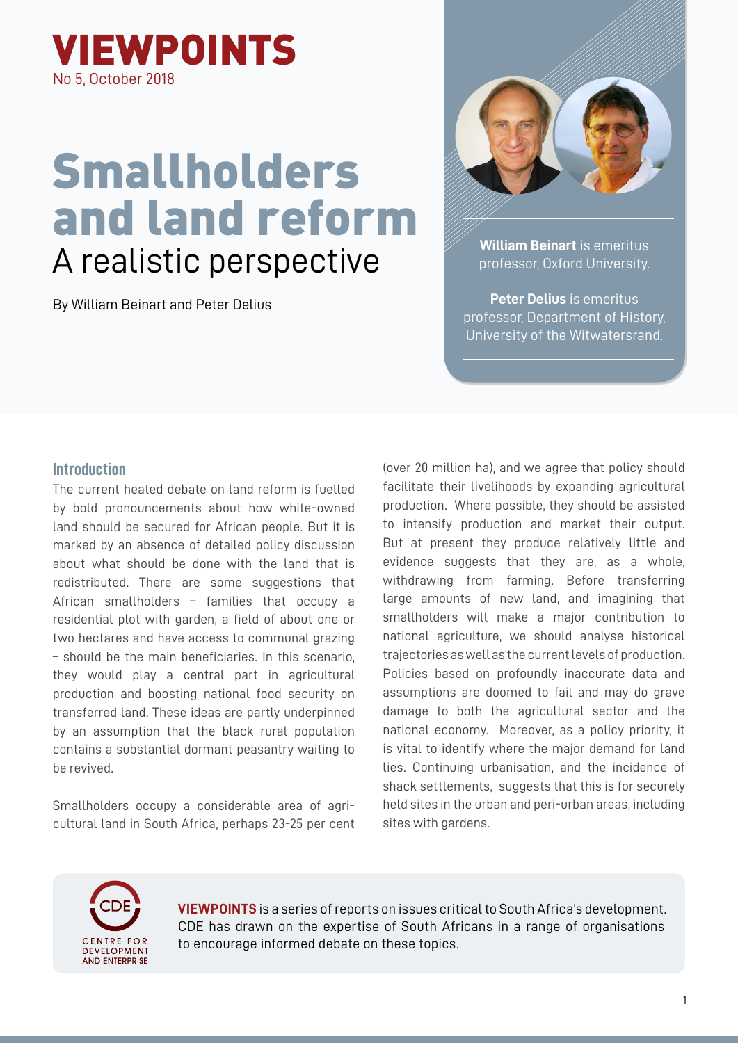

# Smallholders and land reform A realistic perspective

By William Beinart and Peter Delius



**William Beinart** is emeritus professor, Oxford University.

**Peter Delius** is emeritus professor, Department of History, University of the Witwatersrand.

## **Introduction**

The current heated debate on land reform is fuelled by bold pronouncements about how white-owned land should be secured for African people. But it is marked by an absence of detailed policy discussion about what should be done with the land that is redistributed. There are some suggestions that African smallholders – families that occupy a residential plot with garden, a field of about one or two hectares and have access to communal grazing – should be the main beneficiaries. In this scenario, they would play a central part in agricultural production and boosting national food security on transferred land. These ideas are partly underpinned by an assumption that the black rural population contains a substantial dormant peasantry waiting to be revived.

Smallholders occupy a considerable area of agricultural land in South Africa, perhaps 23-25 per cent (over 20 million ha), and we agree that policy should facilitate their livelihoods by expanding agricultural production. Where possible, they should be assisted to intensify production and market their output. But at present they produce relatively little and evidence suggests that they are, as a whole, withdrawing from farming. Before transferring large amounts of new land, and imagining that smallholders will make a major contribution to national agriculture, we should analyse historical trajectories as well as the current levels of production. Policies based on profoundly inaccurate data and assumptions are doomed to fail and may do grave damage to both the agricultural sector and the national economy. Moreover, as a policy priority, it is vital to identify where the major demand for land lies. Continuing urbanisation, and the incidence of shack settlements, suggests that this is for securely held sites in the urban and peri-urban areas, including sites with gardens.



**VIEWPOINTS** is a series of reports on issues critical to South Africa's development. CDE has drawn on the expertise of South Africans in a range of organisations to encourage informed debate on these topics.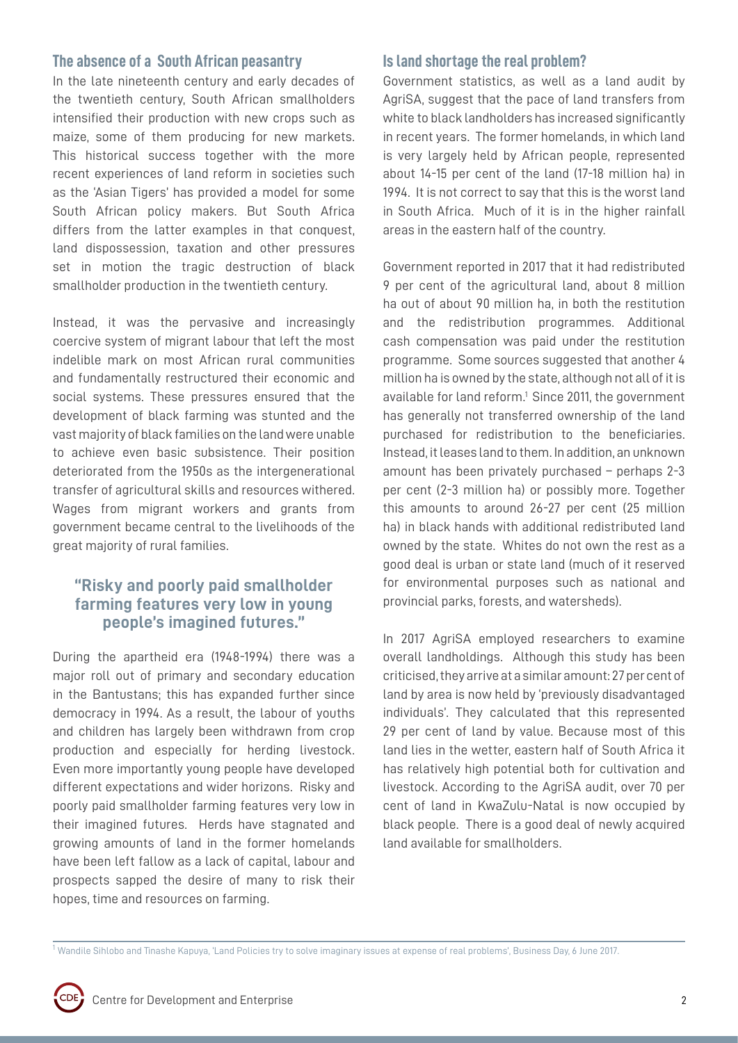## **The absence of a South African peasantry**

In the late nineteenth century and early decades of the twentieth century, South African smallholders intensified their production with new crops such as maize, some of them producing for new markets. This historical success together with the more recent experiences of land reform in societies such as the 'Asian Tigers' has provided a model for some South African policy makers. But South Africa differs from the latter examples in that conquest. land dispossession, taxation and other pressures set in motion the tragic destruction of black smallholder production in the twentieth century.

Instead, it was the pervasive and increasingly coercive system of migrant labour that left the most indelible mark on most African rural communities and fundamentally restructured their economic and social systems. These pressures ensured that the development of black farming was stunted and the vast majority of black families on the land were unable to achieve even basic subsistence. Their position deteriorated from the 1950s as the intergenerational transfer of agricultural skills and resources withered. Wages from migrant workers and grants from government became central to the livelihoods of the great majority of rural families.

# **"Risky and poorly paid smallholder farming features very low in young people's imagined futures."**

During the apartheid era (1948-1994) there was a major roll out of primary and secondary education in the Bantustans; this has expanded further since democracy in 1994. As a result, the labour of youths and children has largely been withdrawn from crop production and especially for herding livestock. Even more importantly young people have developed different expectations and wider horizons. Risky and poorly paid smallholder farming features very low in their imagined futures. Herds have stagnated and growing amounts of land in the former homelands have been left fallow as a lack of capital, labour and prospects sapped the desire of many to risk their hopes, time and resources on farming.

## **Is land shortage the real problem?**

Government statistics, as well as a land audit by AgriSA, suggest that the pace of land transfers from white to black landholders has increased significantly in recent years. The former homelands, in which land is very largely held by African people, represented about 14-15 per cent of the land (17-18 million ha) in 1994. It is not correct to say that this is the worst land in South Africa. Much of it is in the higher rainfall areas in the eastern half of the country.

Government reported in 2017 that it had redistributed 9 per cent of the agricultural land, about 8 million ha out of about 90 million ha, in both the restitution and the redistribution programmes. Additional cash compensation was paid under the restitution programme. Some sources suggested that another 4 million ha is owned by the state, although not all of it is available for land reform.<sup>1</sup> Since 2011, the government has generally not transferred ownership of the land purchased for redistribution to the beneficiaries. Instead, it leases land to them. In addition, an unknown amount has been privately purchased – perhaps 2-3 per cent (2-3 million ha) or possibly more. Together this amounts to around 26-27 per cent (25 million ha) in black hands with additional redistributed land owned by the state. Whites do not own the rest as a good deal is urban or state land (much of it reserved for environmental purposes such as national and provincial parks, forests, and watersheds).

In 2017 AgriSA employed researchers to examine overall landholdings. Although this study has been criticised, they arrive at a similar amount: 27 per cent of land by area is now held by 'previously disadvantaged individuals'. They calculated that this represented 29 per cent of land by value. Because most of this land lies in the wetter, eastern half of South Africa it has relatively high potential both for cultivation and livestock. According to the AgriSA audit, over 70 per cent of land in KwaZulu-Natal is now occupied by black people. There is a good deal of newly acquired land available for smallholders.

<sup>&</sup>lt;sup>1</sup> Wandile Sihlobo and Tinashe Kapuya, 'Land Policies try to solve imaginary issues at expense of real problems', Business Day, 6 June 2017.



l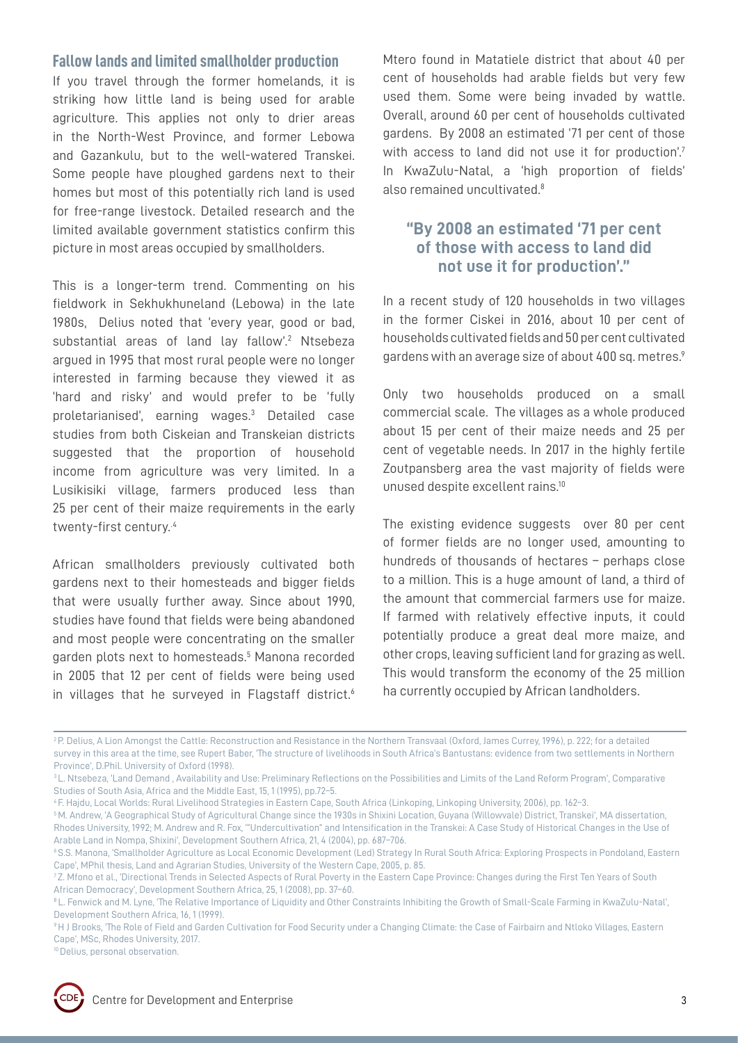## **Fallow lands and limited smallholder production**

If you travel through the former homelands, it is striking how little land is being used for arable agriculture. This applies not only to drier areas in the North-West Province, and former Lebowa and Gazankulu, but to the well-watered Transkei. Some people have ploughed gardens next to their homes but most of this potentially rich land is used for free-range livestock. Detailed research and the limited available government statistics confirm this picture in most areas occupied by smallholders.

This is a longer-term trend. Commenting on his fieldwork in Sekhukhuneland (Lebowa) in the late 1980s, Delius noted that 'every year, good or bad, substantial areas of land lay fallow'.<sup>2</sup> Ntsebeza argued in 1995 that most rural people were no longer interested in farming because they viewed it as 'hard and risky' and would prefer to be 'fully proletarianised', earning wages.3 Detailed case studies from both Ciskeian and Transkeian districts suggested that the proportion of household income from agriculture was very limited. In a Lusikisiki village, farmers produced less than 25 per cent of their maize requirements in the early twenty-first century.<sup>4</sup>

African smallholders previously cultivated both gardens next to their homesteads and bigger fields that were usually further away. Since about 1990, studies have found that fields were being abandoned and most people were concentrating on the smaller garden plots next to homesteads.<sup>5</sup> Manona recorded in 2005 that 12 per cent of fields were being used in villages that he surveyed in Flagstaff district.<sup>6</sup> Mtero found in Matatiele district that about 40 per cent of households had arable fields but very few used them. Some were being invaded by wattle. Overall, around 60 per cent of households cultivated gardens. By 2008 an estimated '71 per cent of those with access to land did not use it for production'.<sup>7</sup> In KwaZulu-Natal, a 'high proportion of fields' also remained uncultivated.<sup>8</sup>

# **"By 2008 an estimated '71 per cent of those with access to land did not use it for production'."**

In a recent study of 120 households in two villages in the former Ciskei in 2016, about 10 per cent of households cultivated fields and 50 per cent cultivated gardens with an average size of about 400 sq. metres.<sup>9</sup>

Only two households produced on a small commercial scale. The villages as a whole produced about 15 per cent of their maize needs and 25 per cent of vegetable needs. In 2017 in the highly fertile Zoutpansberg area the vast majority of fields were unused despite excellent rains.10

The existing evidence suggests over 80 per cent of former fields are no longer used, amounting to hundreds of thousands of hectares – perhaps close to a million. This is a huge amount of land, a third of the amount that commercial farmers use for maize. If farmed with relatively effective inputs, it could potentially produce a great deal more maize, and other crops, leaving sufficient land for grazing as well. This would transform the economy of the 25 million ha currently occupied by African landholders.

<sup>&</sup>lt;sup>10</sup> Delius, personal observation.



<sup>&</sup>lt;sup>2</sup> P. Delius, A Lion Amongst the Cattle: Reconstruction and Resistance in the Northern Transvaal (Oxford, James Currey, 1996), p. 222; for a detailed survey in this area at the time, see Rupert Baber, 'The structure of livelihoods in South Africa's Bantustans: evidence from two settlements in Northern Province', D.Phil. University of Oxford (1998).

<sup>&</sup>lt;sup>3</sup> L. Ntsebeza, 'Land Demand, Availability and Use: Preliminary Reflections on the Possibilities and Limits of the Land Reform Program', Comparative Studies of South Asia, Africa and the Middle East, 15, 1 (1995), pp.72–5.

<sup>4</sup> F. Hajdu, Local Worlds: Rural Livelihood Strategies in Eastern Cape, South Africa (Linkoping, Linkoping University, 2006), pp. 162–3.

<sup>5</sup> M. Andrew, 'A Geographical Study of Agricultural Change since the 1930s in Shixini Location, Guyana (Willowvale) District, Transkei', MA dissertation, Rhodes University, 1992; M. Andrew and R. Fox, '"Undercultivation" and Intensification in the Transkei: A Case Study of Historical Changes in the Use of Arable Land in Nompa, Shixini', Development Southern Africa, 21, 4 (2004), pp. 687–706.

<sup>6</sup> S.S. Manona, 'Smallholder Agriculture as Local Economic Development (Led) Strategy In Rural South Africa: Exploring Prospects in Pondoland, Eastern Cape', MPhil thesis, Land and Agrarian Studies, University of the Western Cape, 2005, p. 85.

<sup>7</sup> Z. Mfono et al., 'Directional Trends in Selected Aspects of Rural Poverty in the Eastern Cape Province: Changes during the First Ten Years of South African Democracy', Development Southern Africa, 25, 1 (2008), pp. 37–60.

<sup>&</sup>lt;sup>8</sup> L. Fenwick and M. Lyne, 'The Relative Importance of Liquidity and Other Constraints Inhibiting the Growth of Small-Scale Farming in KwaZulu-Natal', Development Southern Africa, 16, 1 (1999).

<sup>&</sup>lt;sup>9</sup> H J Brooks, 'The Role of Field and Garden Cultivation for Food Security under a Changing Climate: the Case of Fairbairn and Ntloko Villages, Eastern Cape', MSc, Rhodes University, 2017.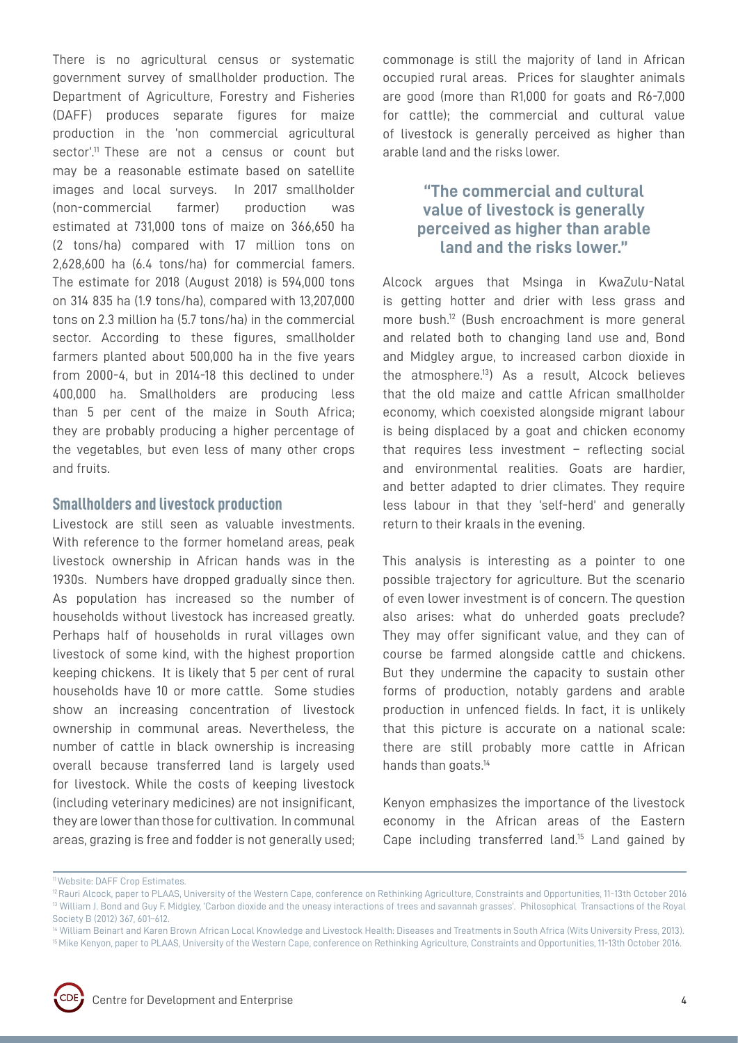There is no agricultural census or systematic government survey of smallholder production. The Department of Agriculture, Forestry and Fisheries (DAFF) produces separate figures for maize production in the 'non commercial agricultural sector'.<sup>11</sup> These are not a census or count but may be a reasonable estimate based on satellite images and local surveys. In 2017 smallholder (non-commercial farmer) production was estimated at 731,000 tons of maize on 366,650 ha (2 tons/ha) compared with 17 million tons on 2,628,600 ha (6.4 tons/ha) for commercial famers. The estimate for 2018 (August 2018) is 594,000 tons on 314 835 ha (1.9 tons/ha), compared with 13,207,000 tons on 2.3 million ha (5.7 tons/ha) in the commercial sector. According to these figures, smallholder farmers planted about 500,000 ha in the five years from 2000-4, but in 2014-18 this declined to under 400,000 ha. Smallholders are producing less than 5 per cent of the maize in South Africa; they are probably producing a higher percentage of the vegetables, but even less of many other crops and fruits.

## **Smallholders and livestock production**

Livestock are still seen as valuable investments. With reference to the former homeland areas, peak livestock ownership in African hands was in the 1930s. Numbers have dropped gradually since then. As population has increased so the number of households without livestock has increased greatly. Perhaps half of households in rural villages own livestock of some kind, with the highest proportion keeping chickens. It is likely that 5 per cent of rural households have 10 or more cattle. Some studies show an increasing concentration of livestock ownership in communal areas. Nevertheless, the number of cattle in black ownership is increasing overall because transferred land is largely used for livestock. While the costs of keeping livestock (including veterinary medicines) are not insignificant, they are lower than those for cultivation. In communal areas, grazing is free and fodder is not generally used;

commonage is still the majority of land in African occupied rural areas. Prices for slaughter animals are good (more than R1,000 for goats and R6-7,000 for cattle); the commercial and cultural value of livestock is generally perceived as higher than arable land and the risks lower.

# **"The commercial and cultural value of livestock is generally perceived as higher than arable land and the risks lower."**

Alcock argues that Msinga in KwaZulu-Natal is getting hotter and drier with less grass and more bush.12 (Bush encroachment is more general and related both to changing land use and, Bond and Midgley argue, to increased carbon dioxide in the atmosphere.13) As a result, Alcock believes that the old maize and cattle African smallholder economy, which coexisted alongside migrant labour is being displaced by a goat and chicken economy that requires less investment – reflecting social and environmental realities. Goats are hardier, and better adapted to drier climates. They require less labour in that they 'self-herd' and generally return to their kraals in the evening.

This analysis is interesting as a pointer to one possible trajectory for agriculture. But the scenario of even lower investment is of concern. The question also arises: what do unherded goats preclude? They may offer significant value, and they can of course be farmed alongside cattle and chickens. But they undermine the capacity to sustain other forms of production, notably gardens and arable production in unfenced fields. In fact, it is unlikely that this picture is accurate on a national scale: there are still probably more cattle in African hands than goats.<sup>14</sup>

Kenyon emphasizes the importance of the livestock economy in the African areas of the Eastern Cape including transferred land.15 Land gained by

<sup>15</sup> Mike Kenyon, paper to PLAAS, University of the Western Cape, conference on Rethinking Agriculture, Constraints and Opportunities, 11-13th October 2016.



<sup>11</sup> Website: DAFF Crop Estimates.

<sup>&</sup>lt;sup>12</sup> Rauri Alcock, paper to PLAAS, University of the Western Cape, conference on Rethinking Agriculture, Constraints and Opportunities, 11-13th October 2016 <sup>13</sup> William J. Bond and Guy F. Midgley, 'Carbon dioxide and the uneasy interactions of trees and savannah grasses'. Philosophical Transactions of the Royal Society B (2012) 367, 601–612.

<sup>&</sup>lt;sup>14</sup> William Beinart and Karen Brown African Local Knowledge and Livestock Health: Diseases and Treatments in South Africa (Wits University Press, 2013).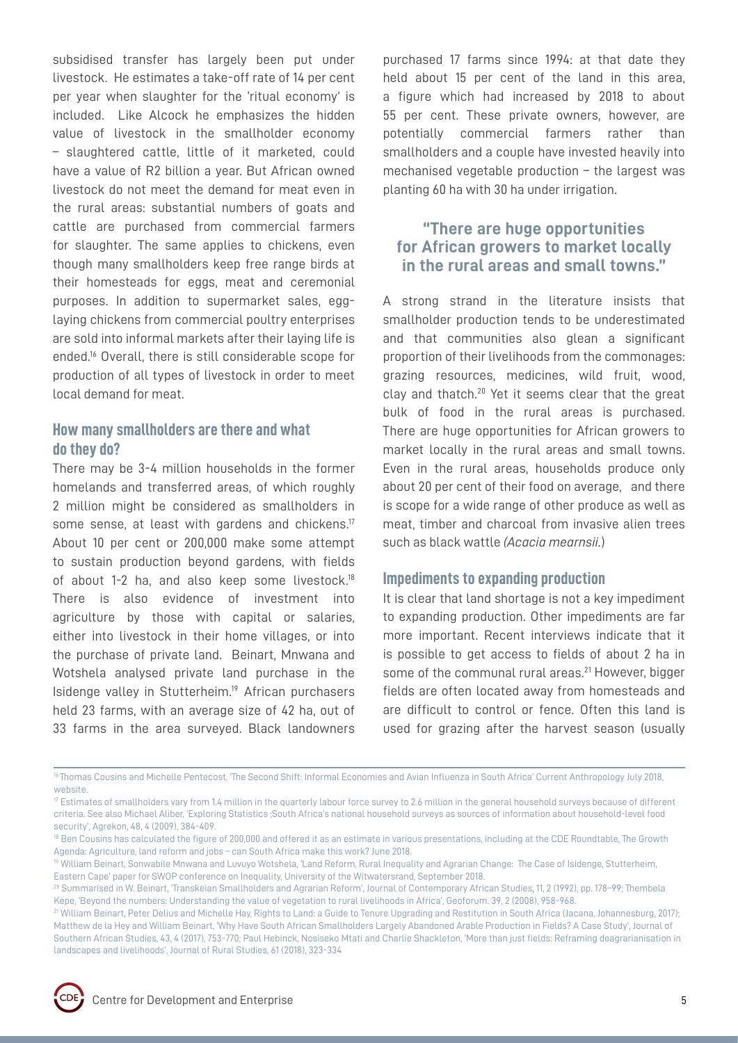subsidised transfer has largely been put under livestock. He estimates a take-off rate of 14 per cent per year when slaughter for the 'ritual economy' is included. Like Alcock he emphasizes the hidden value of livestock in the smallholder economy – slaughtered cattle, little of it marketed, could have a value of R2 billion a year. But African owned livestock do not meet the demand for meat even in the rural areas: substantial numbers of goats and cattle are purchased from commercial farmers for slaughter. The same applies to chickens, even though many smallholders keep free range birds at their homesteads for eggs, meat and ceremonial purposes. In addition to supermarket sales, egglaying chickens from commercial poultry enterprises are sold into informal markets after their laying life is ended.16 Overall, there is still considerable scope for production of all types of livestock in order to meet local demand for meat.

## **How many smallholders are there and what do they do?**

There may be 3-4 million households in the former homelands and transferred areas, of which roughly 2 million might be considered as smallholders in some sense, at least with gardens and chickens.<sup>17</sup> About 10 per cent or 200,000 make some attempt to sustain production beyond gardens, with fields of about 1-2 ha, and also keep some livestock.18 There is also evidence of investment into agriculture by those with capital or salaries, either into livestock in their home villages, or into the purchase of private land. Beinart, Mnwana and Wotshela analysed private land purchase in the Isidenge valley in Stutterheim.19 African purchasers held 23 farms, with an average size of 42 ha, out of 33 farms in the area surveyed. Black landowners purchased 17 farms since 1994: at that date they held about 15 per cent of the land in this area, a figure which had increased by 2018 to about 55 per cent. These private owners, however, are potentially commercial farmers rather than smallholders and a couple have invested heavily into mechanised vegetable production – the largest was planting 60 ha with 30 ha under irrigation.

# **"There are huge opportunities for African growers to market locally in the rural areas and small towns."**

A strong strand in the literature insists that smallholder production tends to be underestimated and that communities also glean a significant proportion of their livelihoods from the commonages: grazing resources, medicines, wild fruit, wood, clay and thatch.20 Yet it seems clear that the great bulk of food in the rural areas is purchased. There are huge opportunities for African growers to market locally in the rural areas and small towns. Even in the rural areas, households produce only about 20 per cent of their food on average, and there is scope for a wide range of other produce as well as meat, timber and charcoal from invasive alien trees such as black wattle *(Acacia mearnsii.*)

## **Impediments to expanding production**

It is clear that land shortage is not a key impediment to expanding production. Other impediments are far more important. Recent interviews indicate that it is possible to get access to fields of about 2 ha in some of the communal rural areas.<sup>21</sup> However, bigger fields are often located away from homesteads and are difficult to control or fence. Often this land is used for grazing after the harvest season (usually

<sup>&</sup>lt;sup>21</sup> William Beinart, Peter Delius and Michelle Hay, Rights to Land: a Guide to Tenure Upgrading and Restitution in South Africa (Jacana, Johannesburg, 2017); Matthew de la Hey and William Beinart, 'Why Have South African Smallholders Largely Abandoned Arable Production in Fields? A Case Study', Journal of Southern African Studies, 43, 4 (2017), 753-770; Paul Hebinck, Nosiseko Mtati and Charlie Shackleton, 'More than just fields: Reframing deagrarianisation in landscapes and livelihoods', Journal of Rural Studies, 61 (2018), 323-334



<sup>&</sup>lt;sup>16</sup> Thomas Cousins and Michelle Pentecost, 'The Second Shift: Informal Economies and Avian Influenza in South Africa' Current Anthropology July 2018, website.

<sup>&</sup>lt;sup>17</sup> Estimates of smallholders vary from 1.4 million in the quarterly labour force survey to 2.6 million in the general household surveys because of different criteria. See also Michael Aliber, 'Exploring Statistics ;South Africa's national household surveys as sources of information about household-level food security', Agrekon, 48, 4 (2009), 384-409.

<sup>&</sup>lt;sup>18</sup> Ben Cousins has calculated the figure of 200,000 and offered it as an estimate in various presentations, including at the CDE Roundtable, The Growth Agenda: Agriculture, land reform and jobs – can South Africa make this work? June 2018.

<sup>19</sup> William Beinart, Sonwabile Mnwana and Luvuyo Wotshela, 'Land Reform, Rural Inequality and Agrarian Change: The Case of Isidenge, Stutterheim, Eastern Cape' paper for SWOP conference on Inequality, University of the Witwatersrand, September 2018.

<sup>20</sup> Summarised in W. Beinart, 'Transkeian Smallholders and Agrarian Reform', Journal of Contemporary African Studies, 11, 2 (1992), pp. 178–99; Thembela Kepe, 'Beyond the numbers: Understanding the value of vegetation to rural livelihoods in Africa', Geoforum. 39, 2 (2008), 958-968.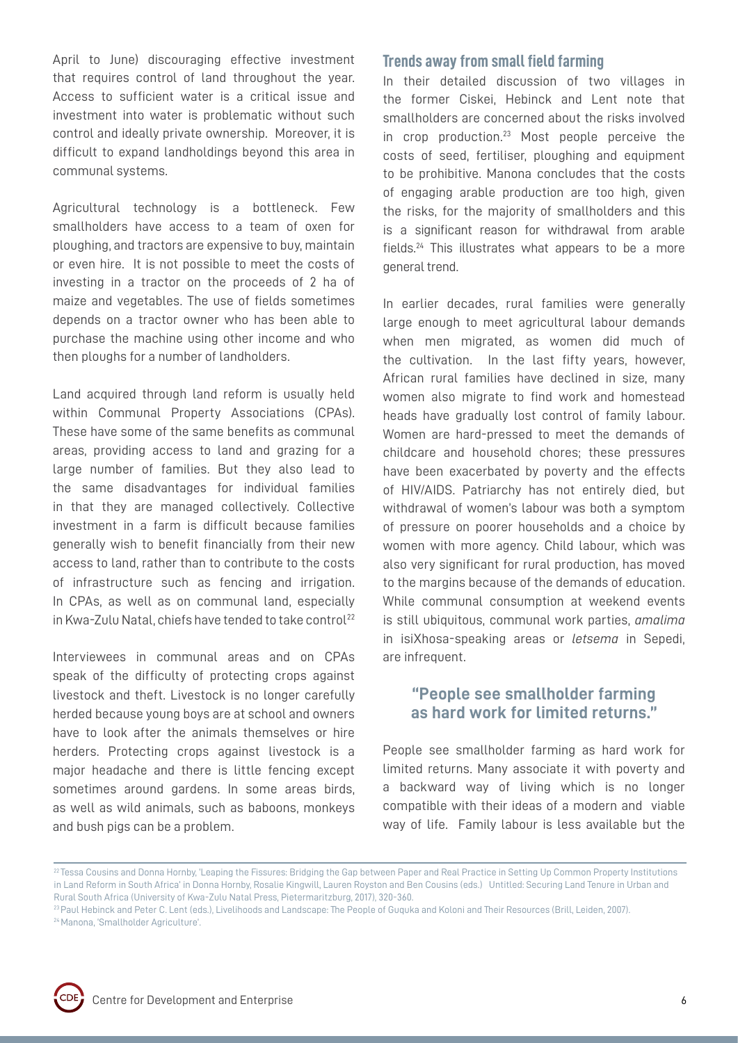April to June) discouraging effective investment that requires control of land throughout the year. Access to sufficient water is a critical issue and investment into water is problematic without such control and ideally private ownership. Moreover, it is difficult to expand landholdings beyond this area in communal systems.

Agricultural technology is a bottleneck. Few smallholders have access to a team of oxen for ploughing, and tractors are expensive to buy, maintain or even hire. It is not possible to meet the costs of investing in a tractor on the proceeds of 2 ha of maize and vegetables. The use of fields sometimes depends on a tractor owner who has been able to purchase the machine using other income and who then ploughs for a number of landholders.

Land acquired through land reform is usually held within Communal Property Associations (CPAs). These have some of the same benefits as communal areas, providing access to land and grazing for a large number of families. But they also lead to the same disadvantages for individual families in that they are managed collectively. Collective investment in a farm is difficult because families generally wish to benefit financially from their new access to land, rather than to contribute to the costs of infrastructure such as fencing and irrigation. In CPAs, as well as on communal land, especially in Kwa-Zulu Natal, chiefs have tended to take control<sup>22</sup>

Interviewees in communal areas and on CPAs speak of the difficulty of protecting crops against livestock and theft. Livestock is no longer carefully herded because young boys are at school and owners have to look after the animals themselves or hire herders. Protecting crops against livestock is a major headache and there is little fencing except sometimes around gardens. In some areas birds, as well as wild animals, such as baboons, monkeys and bush pigs can be a problem.

## **Trends away from small field farming**

In their detailed discussion of two villages in the former Ciskei, Hebinck and Lent note that smallholders are concerned about the risks involved in crop production.23 Most people perceive the costs of seed, fertiliser, ploughing and equipment to be prohibitive. Manona concludes that the costs of engaging arable production are too high, given the risks, for the majority of smallholders and this is a significant reason for withdrawal from arable fields.24 This illustrates what appears to be a more general trend.

In earlier decades, rural families were generally large enough to meet agricultural labour demands when men migrated, as women did much of the cultivation. In the last fifty years, however, African rural families have declined in size, many women also migrate to find work and homestead heads have gradually lost control of family labour. Women are hard-pressed to meet the demands of childcare and household chores; these pressures have been exacerbated by poverty and the effects of HIV/AIDS. Patriarchy has not entirely died, but withdrawal of women's labour was both a symptom of pressure on poorer households and a choice by women with more agency. Child labour, which was also very significant for rural production, has moved to the margins because of the demands of education. While communal consumption at weekend events is still ubiquitous, communal work parties, *amalima* in isiXhosa-speaking areas or *letsema* in Sepedi, are infrequent.

## **"People see smallholder farming as hard work for limited returns."**

People see smallholder farming as hard work for limited returns. Many associate it with poverty and a backward way of living which is no longer compatible with their ideas of a modern and viable way of life. Family labour is less available but the



<sup>&</sup>lt;sup>22</sup> Tessa Cousins and Donna Hornby, 'Leaping the Fissures: Bridging the Gap between Paper and Real Practice in Setting Up Common Property Institutions in Land Reform in South Africa' in Donna Hornby, Rosalie Kingwill, Lauren Royston and Ben Cousins (eds.) Untitled: Securing Land Tenure in Urban and Rural South Africa (University of Kwa-Zulu Natal Press, Pietermaritzburg, 2017), 320-360.

<sup>&</sup>lt;sup>23</sup> Paul Hebinck and Peter C. Lent (eds.), Livelihoods and Landscape: The People of Guquka and Koloni and Their Resources (Brill, Leiden, 2007). 24 Manona, 'Smallholder Agriculture'.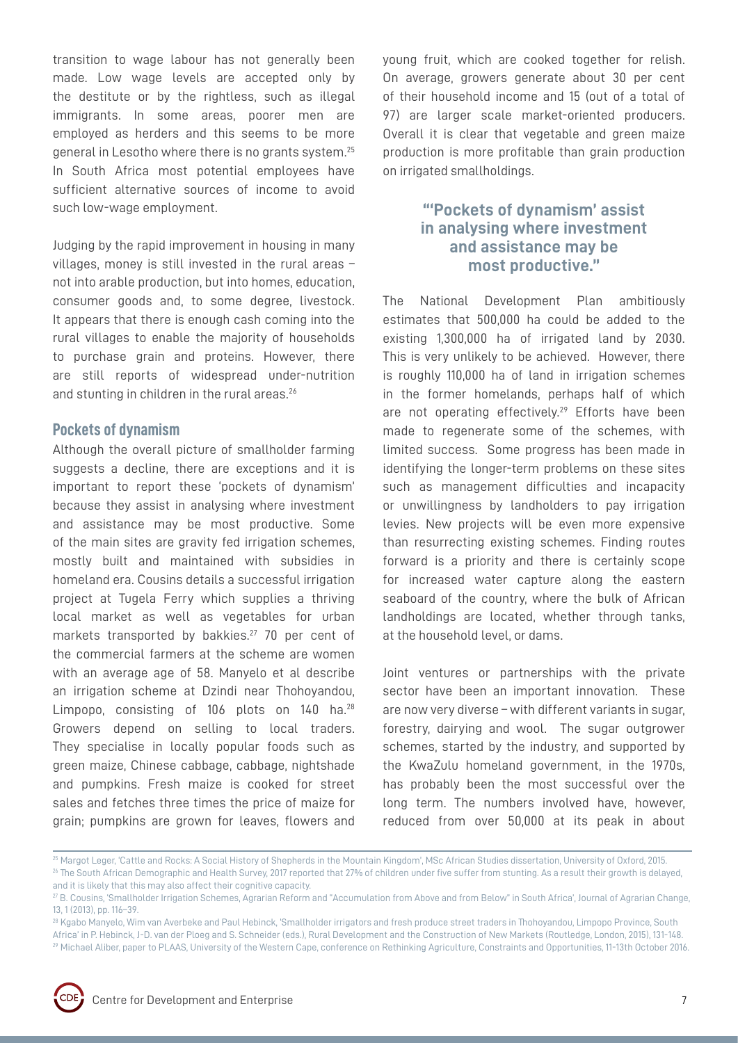transition to wage labour has not generally been made. Low wage levels are accepted only by the destitute or by the rightless, such as illegal immigrants. In some areas, poorer men are employed as herders and this seems to be more general in Lesotho where there is no grants system.25 In South Africa most potential employees have sufficient alternative sources of income to avoid such low-wage employment.

Judging by the rapid improvement in housing in many villages, money is still invested in the rural areas – not into arable production, but into homes, education, consumer goods and, to some degree, livestock. It appears that there is enough cash coming into the rural villages to enable the majority of households to purchase grain and proteins. However, there are still reports of widespread under-nutrition and stunting in children in the rural areas.<sup>26</sup>

## **Pockets of dynamism**

Although the overall picture of smallholder farming suggests a decline, there are exceptions and it is important to report these 'pockets of dynamism' because they assist in analysing where investment and assistance may be most productive. Some of the main sites are gravity fed irrigation schemes, mostly built and maintained with subsidies in homeland era. Cousins details a successful irrigation project at Tugela Ferry which supplies a thriving local market as well as vegetables for urban markets transported by bakkies.<sup>27</sup> 70 per cent of the commercial farmers at the scheme are women with an average age of 58. Manyelo et al describe an irrigation scheme at Dzindi near Thohoyandou, Limpopo, consisting of 106 plots on 140 ha.<sup>28</sup> Growers depend on selling to local traders. They specialise in locally popular foods such as green maize, Chinese cabbage, cabbage, nightshade and pumpkins. Fresh maize is cooked for street sales and fetches three times the price of maize for grain; pumpkins are grown for leaves, flowers and

young fruit, which are cooked together for relish. On average, growers generate about 30 per cent of their household income and 15 (out of a total of 97) are larger scale market-oriented producers. Overall it is clear that vegetable and green maize production is more profitable than grain production on irrigated smallholdings.

# **"'Pockets of dynamism' assist in analysing where investment and assistance may be most productive."**

The National Development Plan ambitiously estimates that 500,000 ha could be added to the existing 1,300,000 ha of irrigated land by 2030. This is very unlikely to be achieved. However, there is roughly 110,000 ha of land in irrigation schemes in the former homelands, perhaps half of which are not operating effectively.<sup>29</sup> Efforts have been made to regenerate some of the schemes, with limited success. Some progress has been made in identifying the longer-term problems on these sites such as management difficulties and incapacity or unwillingness by landholders to pay irrigation levies. New projects will be even more expensive than resurrecting existing schemes. Finding routes forward is a priority and there is certainly scope for increased water capture along the eastern seaboard of the country, where the bulk of African landholdings are located, whether through tanks, at the household level, or dams.

Joint ventures or partnerships with the private sector have been an important innovation. These are now very diverse – with different variants in sugar, forestry, dairying and wool. The sugar outgrower schemes, started by the industry, and supported by the KwaZulu homeland government, in the 1970s, has probably been the most successful over the long term. The numbers involved have, however, reduced from over 50,000 at its peak in about

<sup>28</sup> Kgabo Manyelo, Wim van Averbeke and Paul Hebinck, 'Smallholder irrigators and fresh produce street traders in Thohoyandou, Limpopo Province, South Africa' in P. Hebinck, J-D. van der Ploeg and S. Schneider (eds.), Rural Development and the Construction of New Markets (Routledge, London, 2015), 131-148. 29 Michael Aliber, paper to PLAAS, University of the Western Cape, conference on Rethinking Agriculture, Constraints and Opportunities, 11-13th October 2016.



<sup>&</sup>lt;sup>25</sup> Margot Leger, 'Cattle and Rocks: A Social History of Shepherds in the Mountain Kingdom', MSc African Studies dissertation, University of Oxford, 2015. <sup>26</sup> The South African Demographic and Health Survey, 2017 reported that 27% of children under five suffer from stunting. As a result their growth is delayed, and it is likely that this may also affect their cognitive capacity.

<sup>&</sup>lt;sup>27</sup> B. Cousins, 'Smallholder Irrigation Schemes, Agrarian Reform and "Accumulation from Above and from Below" in South Africa', Journal of Agrarian Change, 13, 1 (2013), pp. 116–39.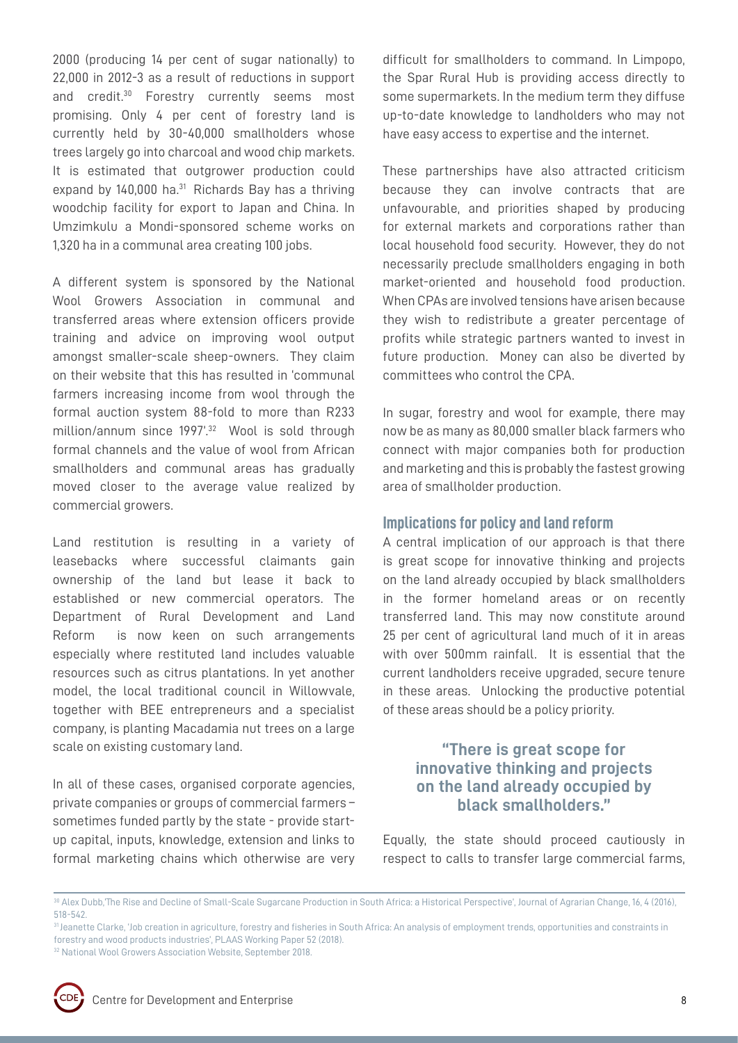model, the local traditional council in Willowvale, together with BEE entrepreneurs and a specialist company, is planting Macadamia nut trees on a large scale on existing customary land.

commercial growers.

In all of these cases, organised corporate agencies, private companies or groups of commercial farmers – sometimes funded partly by the state - provide startup capital, inputs, knowledge, extension and links to formal marketing chains which otherwise are very

2000 (producing 14 per cent of sugar nationally) to 22,000 in 2012-3 as a result of reductions in support and credit.<sup>30</sup> Forestry currently seems most promising. Only 4 per cent of forestry land is currently held by 30-40,000 smallholders whose trees largely go into charcoal and wood chip markets. It is estimated that outgrower production could expand by  $140,000$  ha.<sup>31</sup> Richards Bay has a thriving woodchip facility for export to Japan and China. In Umzimkulu a Mondi-sponsored scheme works on

1,320 ha in a communal area creating 100 jobs.

A different system is sponsored by the National Wool Growers Association in communal and transferred areas where extension officers provide training and advice on improving wool output amongst smaller-scale sheep-owners. They claim on their website that this has resulted in 'communal farmers increasing income from wool through the formal auction system 88-fold to more than R233 million/annum since 1997'.<sup>32</sup> Wool is sold through formal channels and the value of wool from African smallholders and communal areas has gradually moved closer to the average value realized by

Land restitution is resulting in a variety of leasebacks where successful claimants gain ownership of the land but lease it back to established or new commercial operators. The Department of Rural Development and Land Reform is now keen on such arrangements especially where restituted land includes valuable resources such as citrus plantations. In yet another difficult for smallholders to command. In Limpopo, the Spar Rural Hub is providing access directly to some supermarkets. In the medium term they diffuse up-to-date knowledge to landholders who may not have easy access to expertise and the internet.

These partnerships have also attracted criticism because they can involve contracts that are unfavourable, and priorities shaped by producing for external markets and corporations rather than local household food security. However, they do not necessarily preclude smallholders engaging in both market-oriented and household food production. When CPAs are involved tensions have arisen because they wish to redistribute a greater percentage of profits while strategic partners wanted to invest in future production. Money can also be diverted by committees who control the CPA.

In sugar, forestry and wool for example, there may now be as many as 80,000 smaller black farmers who connect with major companies both for production and marketing and this is probably the fastest growing area of smallholder production.

## **Implications for policy and land reform**

A central implication of our approach is that there is great scope for innovative thinking and projects on the land already occupied by black smallholders in the former homeland areas or on recently transferred land. This may now constitute around 25 per cent of agricultural land much of it in areas with over 500mm rainfall. It is essential that the current landholders receive upgraded, secure tenure in these areas. Unlocking the productive potential of these areas should be a policy priority.

# **"There is great scope for innovative thinking and projects on the land already occupied by black smallholders."**

Equally, the state should proceed cautiously in respect to calls to transfer large commercial farms,

<sup>&</sup>lt;sup>32</sup> National Wool Growers Association Website, September 2018.



<sup>&</sup>lt;sup>30</sup> Alex Dubb,'The Rise and Decline of Small-Scale Sugarcane Production in South Africa: a Historical Perspective', Journal of Agrarian Change, 16, 4 (2016), 518-542.

<sup>31</sup> Jeanette Clarke, 'Job creation in agriculture, forestry and fisheries in South Africa: An analysis of employment trends, opportunities and constraints in forestry and wood products industries', PLAAS Working Paper 52 (2018).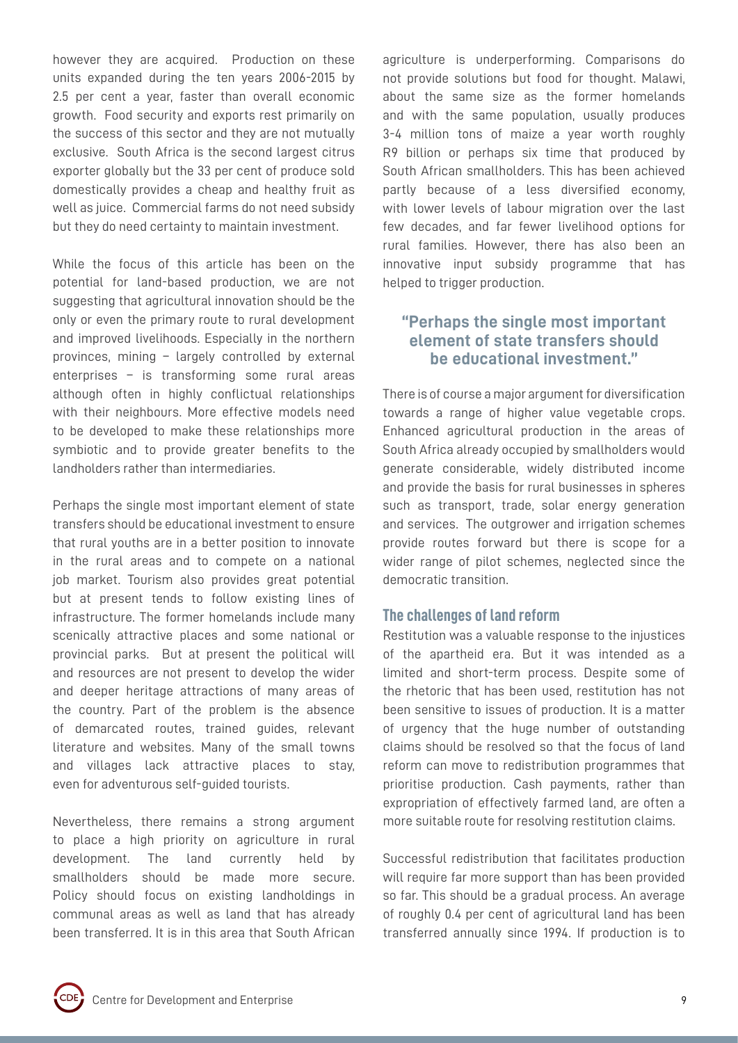however they are acquired. Production on these units expanded during the ten years 2006-2015 by 2.5 per cent a year, faster than overall economic growth. Food security and exports rest primarily on the success of this sector and they are not mutually exclusive. South Africa is the second largest citrus exporter globally but the 33 per cent of produce sold domestically provides a cheap and healthy fruit as well as juice. Commercial farms do not need subsidy but they do need certainty to maintain investment.

While the focus of this article has been on the potential for land-based production, we are not suggesting that agricultural innovation should be the only or even the primary route to rural development and improved livelihoods. Especially in the northern provinces, mining – largely controlled by external enterprises – is transforming some rural areas although often in highly conflictual relationships with their neighbours. More effective models need to be developed to make these relationships more symbiotic and to provide greater benefits to the landholders rather than intermediaries.

Perhaps the single most important element of state transfers should be educational investment to ensure that rural youths are in a better position to innovate in the rural areas and to compete on a national job market. Tourism also provides great potential but at present tends to follow existing lines of infrastructure. The former homelands include many scenically attractive places and some national or provincial parks. But at present the political will and resources are not present to develop the wider and deeper heritage attractions of many areas of the country. Part of the problem is the absence of demarcated routes, trained guides, relevant literature and websites. Many of the small towns and villages lack attractive places to stay, even for adventurous self-guided tourists.

Nevertheless, there remains a strong argument to place a high priority on agriculture in rural development. The land currently held by smallholders should be made more secure. Policy should focus on existing landholdings in communal areas as well as land that has already been transferred. It is in this area that South African

agriculture is underperforming. Comparisons do not provide solutions but food for thought. Malawi, about the same size as the former homelands and with the same population, usually produces 3-4 million tons of maize a year worth roughly R9 billion or perhaps six time that produced by South African smallholders. This has been achieved partly because of a less diversified economy, with lower levels of labour migration over the last few decades, and far fewer livelihood options for rural families. However, there has also been an innovative input subsidy programme that has helped to trigger production.

# **"Perhaps the single most important element of state transfers should be educational investment."**

There is of course a major argument for diversification towards a range of higher value vegetable crops. Enhanced agricultural production in the areas of South Africa already occupied by smallholders would generate considerable, widely distributed income and provide the basis for rural businesses in spheres such as transport, trade, solar energy generation and services. The outgrower and irrigation schemes provide routes forward but there is scope for a wider range of pilot schemes, neglected since the democratic transition.

## **The challenges of land reform**

Restitution was a valuable response to the injustices of the apartheid era. But it was intended as a limited and short-term process. Despite some of the rhetoric that has been used, restitution has not been sensitive to issues of production. It is a matter of urgency that the huge number of outstanding claims should be resolved so that the focus of land reform can move to redistribution programmes that prioritise production. Cash payments, rather than expropriation of effectively farmed land, are often a more suitable route for resolving restitution claims.

Successful redistribution that facilitates production will require far more support than has been provided so far. This should be a gradual process. An average of roughly 0.4 per cent of agricultural land has been transferred annually since 1994. If production is to